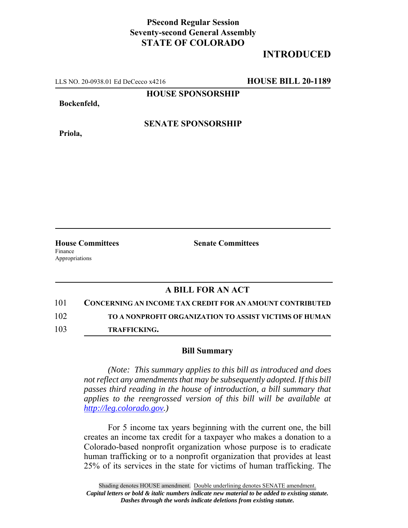## **PSecond Regular Session Seventy-second General Assembly STATE OF COLORADO**

## **INTRODUCED**

LLS NO. 20-0938.01 Ed DeCecco x4216 **HOUSE BILL 20-1189**

**HOUSE SPONSORSHIP**

**Bockenfeld,**

**Priola,**

**SENATE SPONSORSHIP**

Finance Appropriations

**House Committees Senate Committees** 

## **A BILL FOR AN ACT**

101 **CONCERNING AN INCOME TAX CREDIT FOR AN AMOUNT CONTRIBUTED** 102 **TO A NONPROFIT ORGANIZATION TO ASSIST VICTIMS OF HUMAN**

103 **TRAFFICKING.**

## **Bill Summary**

*(Note: This summary applies to this bill as introduced and does not reflect any amendments that may be subsequently adopted. If this bill passes third reading in the house of introduction, a bill summary that applies to the reengrossed version of this bill will be available at http://leg.colorado.gov.)*

For 5 income tax years beginning with the current one, the bill creates an income tax credit for a taxpayer who makes a donation to a Colorado-based nonprofit organization whose purpose is to eradicate human trafficking or to a nonprofit organization that provides at least 25% of its services in the state for victims of human trafficking. The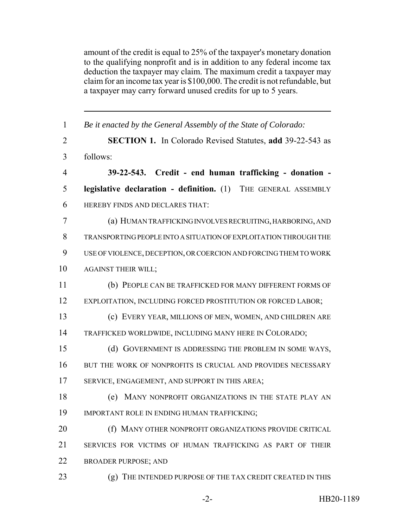amount of the credit is equal to 25% of the taxpayer's monetary donation to the qualifying nonprofit and is in addition to any federal income tax deduction the taxpayer may claim. The maximum credit a taxpayer may claim for an income tax year is \$100,000. The credit is not refundable, but a taxpayer may carry forward unused credits for up to 5 years.

 *Be it enacted by the General Assembly of the State of Colorado:* **SECTION 1.** In Colorado Revised Statutes, **add** 39-22-543 as follows: **39-22-543. Credit - end human trafficking - donation - legislative declaration - definition.** (1) THE GENERAL ASSEMBLY HEREBY FINDS AND DECLARES THAT: (a) HUMAN TRAFFICKING INVOLVES RECRUITING, HARBORING, AND TRANSPORTING PEOPLE INTO A SITUATION OF EXPLOITATION THROUGH THE USE OF VIOLENCE, DECEPTION, OR COERCION AND FORCING THEM TO WORK AGAINST THEIR WILL; (b) PEOPLE CAN BE TRAFFICKED FOR MANY DIFFERENT FORMS OF EXPLOITATION, INCLUDING FORCED PROSTITUTION OR FORCED LABOR; (c) EVERY YEAR, MILLIONS OF MEN, WOMEN, AND CHILDREN ARE TRAFFICKED WORLDWIDE, INCLUDING MANY HERE IN COLORADO; (d) GOVERNMENT IS ADDRESSING THE PROBLEM IN SOME WAYS, BUT THE WORK OF NONPROFITS IS CRUCIAL AND PROVIDES NECESSARY 17 SERVICE, ENGAGEMENT, AND SUPPORT IN THIS AREA; (e) MANY NONPROFIT ORGANIZATIONS IN THE STATE PLAY AN IMPORTANT ROLE IN ENDING HUMAN TRAFFICKING; **(f) MANY OTHER NONPROFIT ORGANIZATIONS PROVIDE CRITICAL**  SERVICES FOR VICTIMS OF HUMAN TRAFFICKING AS PART OF THEIR BROADER PURPOSE; AND 23 (g) THE INTENDED PURPOSE OF THE TAX CREDIT CREATED IN THIS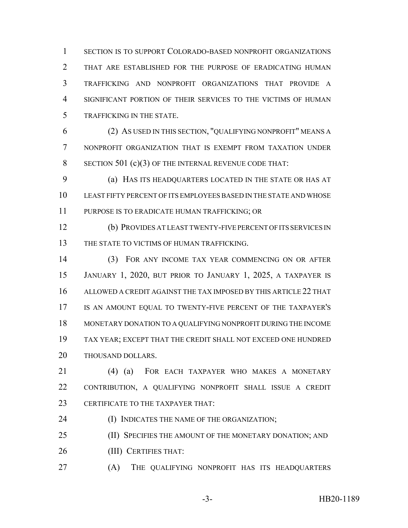SECTION IS TO SUPPORT COLORADO-BASED NONPROFIT ORGANIZATIONS THAT ARE ESTABLISHED FOR THE PURPOSE OF ERADICATING HUMAN TRAFFICKING AND NONPROFIT ORGANIZATIONS THAT PROVIDE A SIGNIFICANT PORTION OF THEIR SERVICES TO THE VICTIMS OF HUMAN TRAFFICKING IN THE STATE.

 (2) AS USED IN THIS SECTION, "QUALIFYING NONPROFIT" MEANS A NONPROFIT ORGANIZATION THAT IS EXEMPT FROM TAXATION UNDER 8 SECTION 501 (c)(3) OF THE INTERNAL REVENUE CODE THAT:

 (a) HAS ITS HEADQUARTERS LOCATED IN THE STATE OR HAS AT LEAST FIFTY PERCENT OF ITS EMPLOYEES BASED IN THE STATE AND WHOSE PURPOSE IS TO ERADICATE HUMAN TRAFFICKING; OR

 (b) PROVIDES AT LEAST TWENTY-FIVE PERCENT OF ITS SERVICES IN 13 THE STATE TO VICTIMS OF HUMAN TRAFFICKING.

 (3) FOR ANY INCOME TAX YEAR COMMENCING ON OR AFTER JANUARY 1, 2020, BUT PRIOR TO JANUARY 1, 2025, A TAXPAYER IS ALLOWED A CREDIT AGAINST THE TAX IMPOSED BY THIS ARTICLE 22 THAT IS AN AMOUNT EQUAL TO TWENTY-FIVE PERCENT OF THE TAXPAYER'S MONETARY DONATION TO A QUALIFYING NONPROFIT DURING THE INCOME TAX YEAR; EXCEPT THAT THE CREDIT SHALL NOT EXCEED ONE HUNDRED THOUSAND DOLLARS.

 (4) (a) FOR EACH TAXPAYER WHO MAKES A MONETARY CONTRIBUTION, A QUALIFYING NONPROFIT SHALL ISSUE A CREDIT 23 CERTIFICATE TO THE TAXPAYER THAT:

(I) INDICATES THE NAME OF THE ORGANIZATION;

**(II) SPECIFIES THE AMOUNT OF THE MONETARY DONATION; AND** 

(III) CERTIFIES THAT:

(A) THE QUALIFYING NONPROFIT HAS ITS HEADQUARTERS

-3- HB20-1189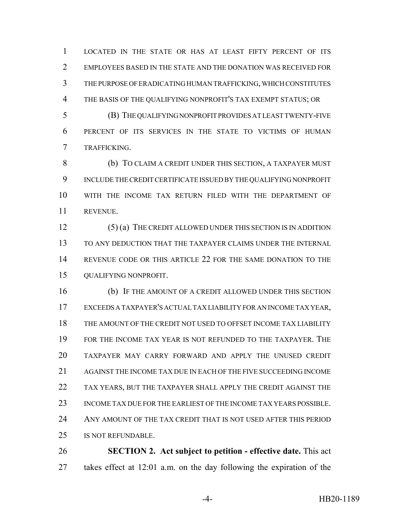LOCATED IN THE STATE OR HAS AT LEAST FIFTY PERCENT OF ITS EMPLOYEES BASED IN THE STATE AND THE DONATION WAS RECEIVED FOR THE PURPOSE OF ERADICATING HUMAN TRAFFICKING, WHICH CONSTITUTES THE BASIS OF THE QUALIFYING NONPROFIT'S TAX EXEMPT STATUS; OR

 (B) THE QUALIFYING NONPROFIT PROVIDES AT LEAST TWENTY-FIVE PERCENT OF ITS SERVICES IN THE STATE TO VICTIMS OF HUMAN TRAFFICKING.

 (b) TO CLAIM A CREDIT UNDER THIS SECTION, A TAXPAYER MUST INCLUDE THE CREDIT CERTIFICATE ISSUED BY THE QUALIFYING NONPROFIT WITH THE INCOME TAX RETURN FILED WITH THE DEPARTMENT OF REVENUE.

 (5) (a) THE CREDIT ALLOWED UNDER THIS SECTION IS IN ADDITION TO ANY DEDUCTION THAT THE TAXPAYER CLAIMS UNDER THE INTERNAL REVENUE CODE OR THIS ARTICLE 22 FOR THE SAME DONATION TO THE QUALIFYING NONPROFIT.

 (b) IF THE AMOUNT OF A CREDIT ALLOWED UNDER THIS SECTION EXCEEDS A TAXPAYER'S ACTUAL TAX LIABILITY FOR AN INCOME TAX YEAR, THE AMOUNT OF THE CREDIT NOT USED TO OFFSET INCOME TAX LIABILITY FOR THE INCOME TAX YEAR IS NOT REFUNDED TO THE TAXPAYER. THE TAXPAYER MAY CARRY FORWARD AND APPLY THE UNUSED CREDIT AGAINST THE INCOME TAX DUE IN EACH OF THE FIVE SUCCEEDING INCOME TAX YEARS, BUT THE TAXPAYER SHALL APPLY THE CREDIT AGAINST THE INCOME TAX DUE FOR THE EARLIEST OF THE INCOME TAX YEARS POSSIBLE. ANY AMOUNT OF THE TAX CREDIT THAT IS NOT USED AFTER THIS PERIOD IS NOT REFUNDABLE.

 **SECTION 2. Act subject to petition - effective date.** This act takes effect at 12:01 a.m. on the day following the expiration of the